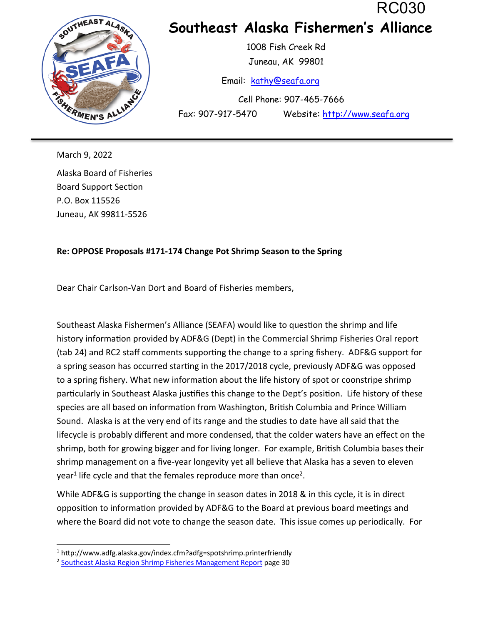RC030



## **Southeast Alaska Fishermen's Alliance**

 1008 Fish Creek Rd Juneau, AK 99801

Email: kathy@seafa.org

 Cell Phone: 907-465-7666 Fax: 907-917-5470 Website: http://www.seafa.org

March 9, 2022 Alaska Board of Fisheries Board Support Section P.O. Box 115526 Juneau, AK 99811-5526

## **Re: OPPOSE Proposals #171-174 Change Pot Shrimp Season to the Spring**

Dear Chair Carlson-Van Dort and Board of Fisheries members,

Southeast Alaska Fishermen's Alliance (SEAFA) would like to question the shrimp and life history information provided by ADF&G (Dept) in the Commercial Shrimp Fisheries Oral report (tab 24) and RC2 staff comments supporting the change to a spring fishery. ADF&G support for a spring season has occurred starting in the 2017/2018 cycle, previously ADF&G was opposed to a spring fishery. What new information about the life history of spot or coonstripe shrimp particularly in Southeast Alaska justifies this change to the Dept's position. Life history of these species are all based on information from Washington, British Columbia and Prince William Sound. Alaska is at the very end of its range and the studies to date have all said that the lifecycle is probably different and more condensed, that the colder waters have an effect on the shrimp, both for growing bigger and for living longer. For example, British Columbia bases their shrimp management on a five-year longevity yet all believe that Alaska has a seven to eleven year<sup>1</sup> life cycle and that the females reproduce more than once<sup>2</sup>.

While ADF&G is supporting the change in season dates in 2018 & in this cycle, it is in direct opposition to information provided by ADF&G to the Board at previous board meetings and where the Board did not vote to change the season date. This issue comes up periodically. For

<sup>&</sup>lt;sup>1</sup> http://www.adfg.alaska.gov/index.cfm?adfg=spotshrimp.printerfriendly

<sup>2</sup> Southeast Alaska Region Shrimp Fisheries Management Report page 30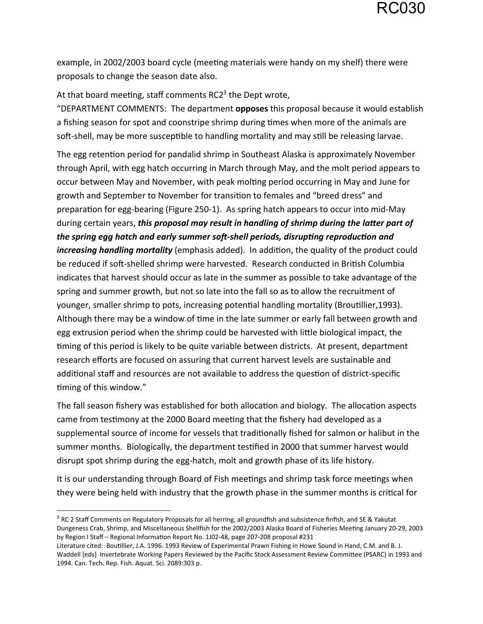example, in 2002/2003 board cycle (meeting materials were handy on my shelf) there were proposals to change the season date also.

At that board meeting, staff comments RC2 $3$  the Dept wrote,

"DEPARTMENT COMMENTS: The department **opposes** this proposal because it would establish a fishing season for spot and coonstripe shrimp during times when more of the animals are soft-shell, may be more susceptible to handling mortality and may still be releasing larvae.

The egg retention period for pandalid shrimp in Southeast Alaska is approximately November through April, with egg hatch occurring in March through May, and the molt period appears to occur between May and November, with peak molting period occurring in May and June for growth and September to November for transition to females and "breed dress" and preparation for egg-bearing (Figure 250-1). As spring hatch appears to occur into mid-May during certain years, *this proposal may result in handling of shrimp during the latter part of the spring egg hatch and early summer soft-shell periods, disrupting reproduction and increasing handling mortality* (emphasis added). In addition, the quality of the product could be reduced if soft-shelled shrimp were harvested. Research conducted in British Columbia indicates that harvest should occur as late in the summer as possible to take advantage of the spring and summer growth, but not so late into the fall so as to allow the recruitment of younger, smaller shrimp to pots, increasing potential handling mortality (Broutillier, 1993). Although there may be a window of time in the late summer or early fall between growth and egg extrusion period when the shrimp could be harvested with little biological impact, the timing of this period is likely to be quite variable between districts. At present, department research efforts are focused on assuring that current harvest levels are sustainable and additional staff and resources are not available to address the question of district-specific timing of this window."

The fall season fishery was established for both allocation and biology. The allocation aspects came from testimony at the 2000 Board meeting that the fishery had developed as a supplemental source of income for vessels that traditionally fished for salmon or halibut in the summer months. Biologically, the department testified in 2000 that summer harvest would disrupt spot shrimp during the egg-hatch, molt and growth phase of its life history.

It is our understanding through Board of Fish meetings and shrimp task force meetings when they were being held with industry that the growth phase in the summer months is critical for

<sup>&</sup>lt;sup>3</sup> RC 2 Staff Comments on Regulatory Proposals for all herring, all groundfish and subsistence finfish, and SE & Yakutat Dungeness Crab, Shrimp, and Miscellaneous Shellfish for the 2002/2003 Alaska Board of Fisheries Meeting January 20-29, 2003 by Region I Staff - Regional Information Report No. 1J02-48, page 207-208 proposal #231

Literature cited: BouƟllier, J.A. 1996. 1993 Review of Experimental Prawn Fishing in Howe Sound in Hand, C.M. and B. J. Waddell [eds] Invertebrate Working Papers Reviewed by the Pacific Stock Assessment Review Committee (PSARC) in 1993 and 1994. Can. Tech. Rep. Fish. Aquat. Sci. 2089:303 p.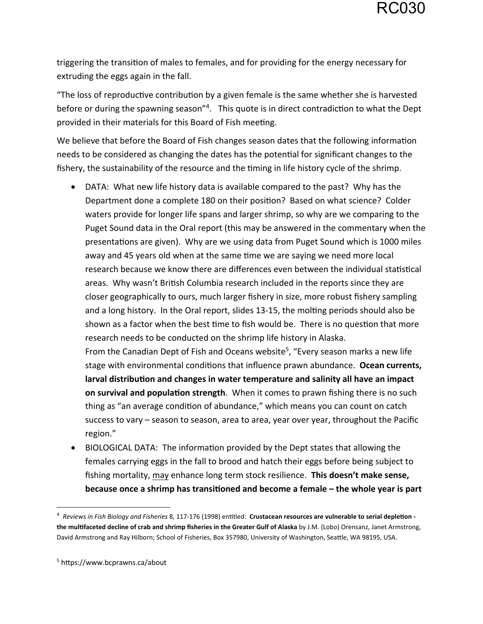triggering the transition of males to females, and for providing for the energy necessary for extruding the eggs again in the fall.

"The loss of reproductive contribution by a given female is the same whether she is harvested before or during the spawning season"<sup>4</sup>. This quote is in direct contradiction to what the Dept provided in their materials for this Board of Fish meeting.

We believe that before the Board of Fish changes season dates that the following information needs to be considered as changing the dates has the potential for significant changes to the fishery, the sustainability of the resource and the timing in life history cycle of the shrimp.

 DATA: What new life history data is available compared to the past? Why has the Department done a complete 180 on their position? Based on what science? Colder waters provide for longer life spans and larger shrimp, so why are we comparing to the Puget Sound data in the Oral report (this may be answered in the commentary when the presentations are given). Why are we using data from Puget Sound which is 1000 miles away and 45 years old when at the same time we are saying we need more local research because we know there are differences even between the individual statistical areas. Why wasn't British Columbia research included in the reports since they are closer geographically to ours, much larger fishery in size, more robust fishery sampling and a long history. In the Oral report, slides 13-15, the molting periods should also be shown as a factor when the best time to fish would be. There is no question that more research needs to be conducted on the shrimp life history in Alaska.

From the Canadian Dept of Fish and Oceans website<sup>5</sup>, "Every season marks a new life stage with environmental conditions that influence prawn abundance. Ocean currents, larval distribution and changes in water temperature and salinity all have an impact **on survival and population strength**. When it comes to prawn fishing there is no such thing as "an average condition of abundance," which means you can count on catch success to vary – season to season, area to area, year over year, throughout the Pacific region."

BIOLOGICAL DATA: The information provided by the Dept states that allowing the females carrying eggs in the fall to brood and hatch their eggs before being subject to fishing mortality, may enhance long term stock resilience. **This doesn't make sense,**  because once a shrimp has transitioned and become a female – the whole year is part

<sup>&</sup>lt;sup>4</sup> Reviews in Fish Biology and Fisheries 8, 117-176 (1998) entitled: Crustacean resources are vulnerable to serial depletion **the mulƟfaceted decline of crab and shrimp fisheries in the Greater Gulf of Alaska** by J.M. (Lobo) Orensanz, Janet Armstrong, David Armstrong and Ray Hilborn; School of Fisheries, Box 357980, University of Washington, SeaƩle, WA 98195, USA.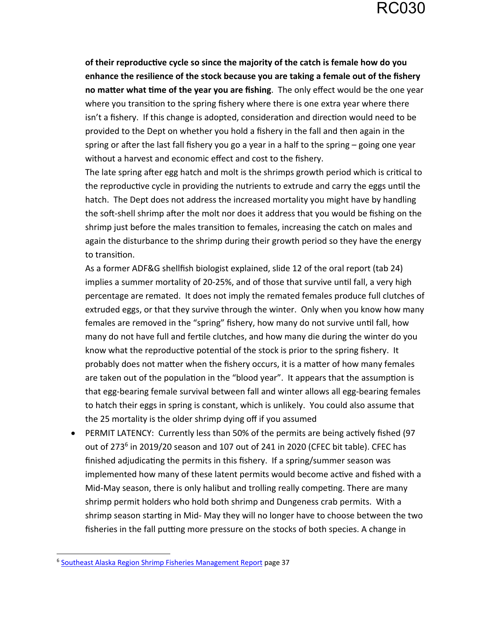**of their reproducƟve cycle so since the majority of the catch is female how do you enhance the resilience of the stock because you are taking a female out of the fishery**  no matter what time of the year you are fishing. The only effect would be the one year where you transition to the spring fishery where there is one extra year where there isn't a fishery. If this change is adopted, consideration and direction would need to be provided to the Dept on whether you hold a fishery in the fall and then again in the spring or after the last fall fishery you go a year in a half to the spring  $-$  going one year without a harvest and economic effect and cost to the fishery.

The late spring after egg hatch and molt is the shrimps growth period which is critical to the reproductive cycle in providing the nutrients to extrude and carry the eggs until the hatch. The Dept does not address the increased mortality you might have by handling the soft-shell shrimp after the molt nor does it address that you would be fishing on the shrimp just before the males transition to females, increasing the catch on males and again the disturbance to the shrimp during their growth period so they have the energy to transition.

As a former ADF&G shellfish biologist explained, slide 12 of the oral report (tab 24) implies a summer mortality of 20-25%, and of those that survive until fall, a very high percentage are remated. It does not imply the remated females produce full clutches of extruded eggs, or that they survive through the winter. Only when you know how many females are removed in the "spring" fishery, how many do not survive until fall, how many do not have full and fertile clutches, and how many die during the winter do you know what the reproductive potential of the stock is prior to the spring fishery. It probably does not matter when the fishery occurs, it is a matter of how many females are taken out of the population in the "blood year". It appears that the assumption is that egg-bearing female survival between fall and winter allows all egg-bearing females to hatch their eggs in spring is constant, which is unlikely. You could also assume that the 25 mortality is the older shrimp dying off if you assumed

• PERMIT LATENCY: Currently less than 50% of the permits are being actively fished (97 out of 273<sup>6</sup> in 2019/20 season and 107 out of 241 in 2020 (CFEC bit table). CFEC has finished adjudicating the permits in this fishery. If a spring/summer season was implemented how many of these latent permits would become active and fished with a Mid-May season, there is only halibut and trolling really competing. There are many shrimp permit holders who hold both shrimp and Dungeness crab permits. With a shrimp season starting in Mid- May they will no longer have to choose between the two fisheries in the fall putting more pressure on the stocks of both species. A change in

<sup>6</sup> Southeast Alaska Region Shrimp Fisheries Management Report page 37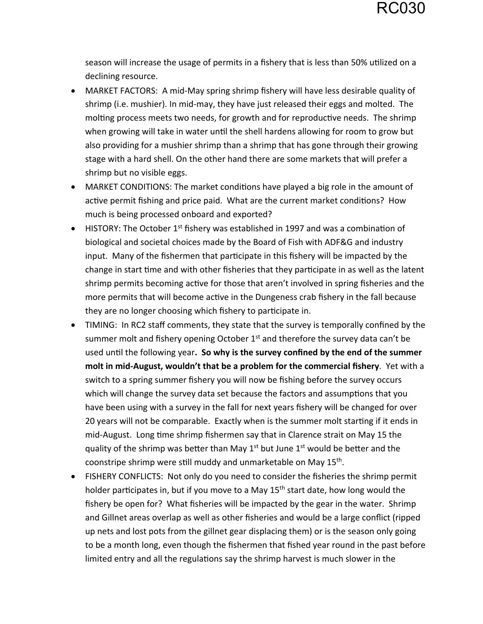season will increase the usage of permits in a fishery that is less than 50% utilized on a declining resource.

- MARKET FACTORS: A mid-May spring shrimp fishery will have less desirable quality of shrimp (i.e. mushier). In mid-may, they have just released their eggs and molted. The molting process meets two needs, for growth and for reproductive needs. The shrimp when growing will take in water until the shell hardens allowing for room to grow but also providing for a mushier shrimp than a shrimp that has gone through their growing stage with a hard shell. On the other hand there are some markets that will prefer a shrimp but no visible eggs.
- MARKET CONDITIONS: The market conditions have played a big role in the amount of active permit fishing and price paid. What are the current market conditions? How much is being processed onboard and exported?
- $\bullet$  HISTORY: The October 1<sup>st</sup> fishery was established in 1997 and was a combination of biological and societal choices made by the Board of Fish with ADF&G and industry input. Many of the fishermen that participate in this fishery will be impacted by the change in start time and with other fisheries that they participate in as well as the latent shrimp permits becoming active for those that aren't involved in spring fisheries and the more permits that will become active in the Dungeness crab fishery in the fall because they are no longer choosing which fishery to participate in.
- TIMING: In RC2 staff comments, they state that the survey is temporally confined by the summer molt and fishery opening October  $1<sup>st</sup>$  and therefore the survey data can't be used unƟl the following year**. So why is the survey confined by the end of the summer molt in mid-August, wouldn't that be a problem for the commercial fishery**. Yet with a switch to a spring summer fishery you will now be fishing before the survey occurs which will change the survey data set because the factors and assumptions that you have been using with a survey in the fall for next years fishery will be changed for over 20 years will not be comparable. Exactly when is the summer molt starting if it ends in mid-August. Long time shrimp fishermen say that in Clarence strait on May 15 the quality of the shrimp was better than May  $1<sup>st</sup>$  but June  $1<sup>st</sup>$  would be better and the coonstripe shrimp were still muddy and unmarketable on May 15<sup>th</sup>.
- FISHERY CONFLICTS: Not only do you need to consider the fisheries the shrimp permit holder participates in, but if you move to a May  $15<sup>th</sup>$  start date, how long would the fishery be open for? What fisheries will be impacted by the gear in the water. Shrimp and Gillnet areas overlap as well as other fisheries and would be a large conflict (ripped up nets and lost pots from the gillnet gear displacing them) or is the season only going to be a month long, even though the fishermen that fished year round in the past before limited entry and all the regulations say the shrimp harvest is much slower in the